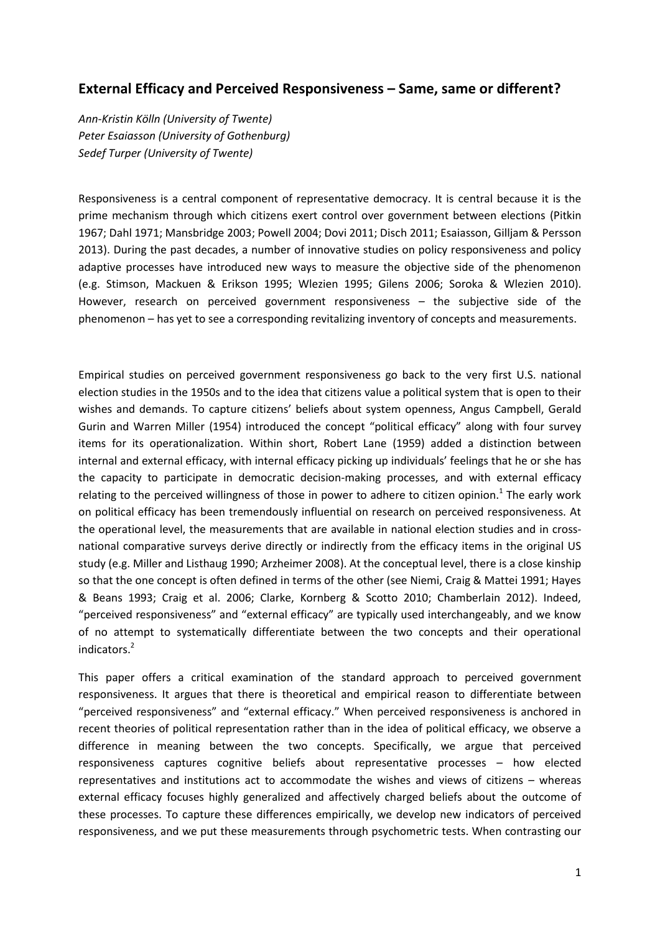# **External Efficacy and Perceived Responsiveness – Same, same or different?**

*Ann-Kristin Kölln (University of Twente) Peter Esaiasson (University of Gothenburg) Sedef Turper (University of Twente)*

Responsiveness is a central component of representative democracy. It is central because it is the prime mechanism through which citizens exert control over government between elections (Pitkin 1967; Dahl 1971; Mansbridge 2003; Powell 2004; Dovi 2011; Disch 2011; Esaiasson, Gilljam & Persson 2013). During the past decades, a number of innovative studies on policy responsiveness and policy adaptive processes have introduced new ways to measure the objective side of the phenomenon (e.g. Stimson, Mackuen & Erikson 1995; Wlezien 1995; Gilens 2006; Soroka & Wlezien 2010). However, research on perceived government responsiveness – the subjective side of the phenomenon – has yet to see a corresponding revitalizing inventory of concepts and measurements.

Empirical studies on perceived government responsiveness go back to the very first U.S. national election studies in the 1950s and to the idea that citizens value a political system that is open to their wishes and demands. To capture citizens' beliefs about system openness, Angus Campbell, Gerald Gurin and Warren Miller (1954) introduced the concept "political efficacy" along with four survey items for its operationalization. Within short, Robert Lane (1959) added a distinction between internal and external efficacy, with internal efficacy picking up individuals' feelings that he or she has the capacity to participate in democratic decision-making processes, and with external efficacy relating to the perceived willingness of those in power to adhere to citizen opinion.<sup>1</sup> The early work on political efficacy has been tremendously influential on research on perceived responsiveness. At the operational level, the measurements that are available in national election studies and in crossnational comparative surveys derive directly or indirectly from the efficacy items in the original US study (e.g. Miller and Listhaug 1990; Arzheimer 2008). At the conceptual level, there is a close kinship so that the one concept is often defined in terms of the other (see Niemi, Craig & Mattei 1991; Hayes & Beans 1993; Craig et al. 2006; Clarke, Kornberg & Scotto 2010; Chamberlain 2012). Indeed, "perceived responsiveness" and "external efficacy" are typically used interchangeably, and we know of no attempt to systematically differentiate between the two concepts and their operational indicators.<sup>2</sup>

This paper offers a critical examination of the standard approach to perceived government responsiveness. It argues that there is theoretical and empirical reason to differentiate between "perceived responsiveness" and "external efficacy." When perceived responsiveness is anchored in recent theories of political representation rather than in the idea of political efficacy, we observe a difference in meaning between the two concepts. Specifically, we argue that perceived responsiveness captures cognitive beliefs about representative processes – how elected representatives and institutions act to accommodate the wishes and views of citizens – whereas external efficacy focuses highly generalized and affectively charged beliefs about the outcome of these processes. To capture these differences empirically, we develop new indicators of perceived responsiveness, and we put these measurements through psychometric tests. When contrasting our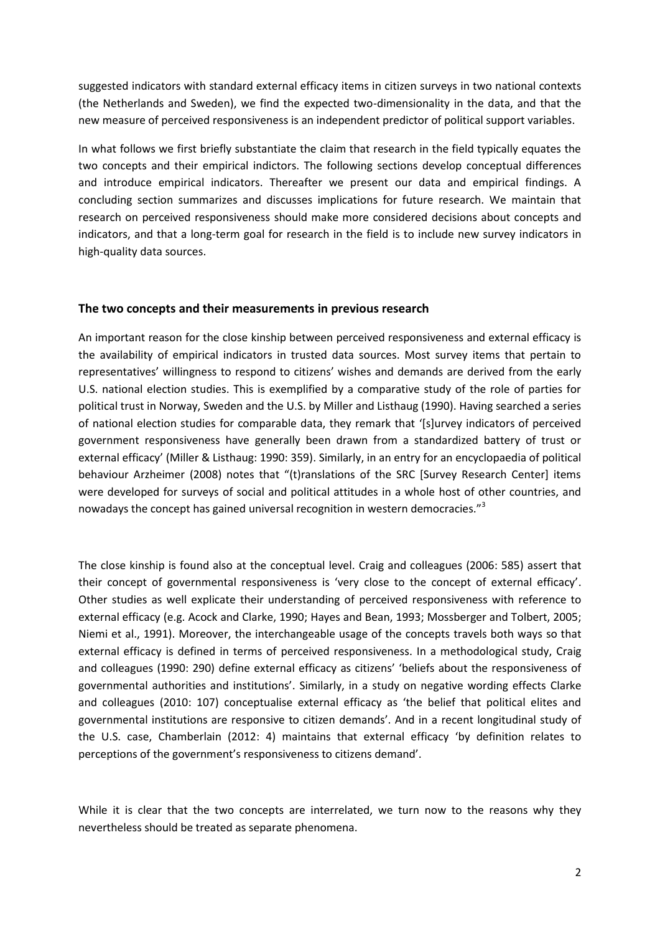suggested indicators with standard external efficacy items in citizen surveys in two national contexts (the Netherlands and Sweden), we find the expected two-dimensionality in the data, and that the new measure of perceived responsiveness is an independent predictor of political support variables.

In what follows we first briefly substantiate the claim that research in the field typically equates the two concepts and their empirical indictors. The following sections develop conceptual differences and introduce empirical indicators. Thereafter we present our data and empirical findings. A concluding section summarizes and discusses implications for future research. We maintain that research on perceived responsiveness should make more considered decisions about concepts and indicators, and that a long-term goal for research in the field is to include new survey indicators in high-quality data sources.

## **The two concepts and their measurements in previous research**

An important reason for the close kinship between perceived responsiveness and external efficacy is the availability of empirical indicators in trusted data sources. Most survey items that pertain to representatives' willingness to respond to citizens' wishes and demands are derived from the early U.S. national election studies. This is exemplified by a comparative study of the role of parties for political trust in Norway, Sweden and the U.S. by Miller and Listhaug (1990). Having searched a series of national election studies for comparable data, they remark that '[s]urvey indicators of perceived government responsiveness have generally been drawn from a standardized battery of trust or external efficacy' (Miller & Listhaug: 1990: 359). Similarly, in an entry for an encyclopaedia of political behaviour Arzheimer (2008) notes that "(t)ranslations of the SRC [Survey Research Center] items were developed for surveys of social and political attitudes in a whole host of other countries, and nowadays the concept has gained universal recognition in western democracies."<sup>3</sup>

The close kinship is found also at the conceptual level. Craig and colleagues (2006: 585) assert that their concept of governmental responsiveness is 'very close to the concept of external efficacy'. Other studies as well explicate their understanding of perceived responsiveness with reference to external efficacy (e.g. Acock and Clarke, 1990; Hayes and Bean, 1993; Mossberger and Tolbert, 2005; Niemi et al., 1991). Moreover, the interchangeable usage of the concepts travels both ways so that external efficacy is defined in terms of perceived responsiveness. In a methodological study, Craig and colleagues (1990: 290) define external efficacy as citizens' 'beliefs about the responsiveness of governmental authorities and institutions'. Similarly, in a study on negative wording effects Clarke and colleagues (2010: 107) conceptualise external efficacy as 'the belief that political elites and governmental institutions are responsive to citizen demands'. And in a recent longitudinal study of the U.S. case, Chamberlain (2012: 4) maintains that external efficacy 'by definition relates to perceptions of the government's responsiveness to citizens demand'.

While it is clear that the two concepts are interrelated, we turn now to the reasons why they nevertheless should be treated as separate phenomena.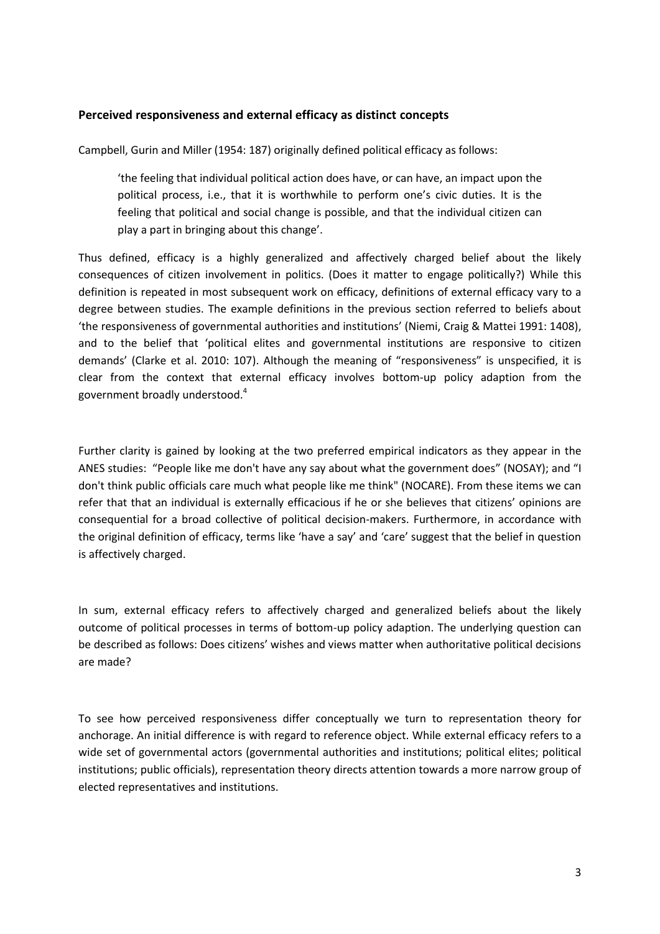## **Perceived responsiveness and external efficacy as distinct concepts**

Campbell, Gurin and Miller (1954: 187) originally defined political efficacy as follows:

'the feeling that individual political action does have, or can have, an impact upon the political process, i.e., that it is worthwhile to perform one's civic duties. It is the feeling that political and social change is possible, and that the individual citizen can play a part in bringing about this change'.

Thus defined, efficacy is a highly generalized and affectively charged belief about the likely consequences of citizen involvement in politics. (Does it matter to engage politically?) While this definition is repeated in most subsequent work on efficacy, definitions of external efficacy vary to a degree between studies. The example definitions in the previous section referred to beliefs about 'the responsiveness of governmental authorities and institutions' (Niemi, Craig & Mattei 1991: 1408), and to the belief that 'political elites and governmental institutions are responsive to citizen demands' (Clarke et al. 2010: 107). Although the meaning of "responsiveness" is unspecified, it is clear from the context that external efficacy involves bottom-up policy adaption from the government broadly understood.<sup>4</sup>

Further clarity is gained by looking at the two preferred empirical indicators as they appear in the ANES studies: "People like me don't have any say about what the government does" (NOSAY); and "I don't think public officials care much what people like me think" (NOCARE). From these items we can refer that that an individual is externally efficacious if he or she believes that citizens' opinions are consequential for a broad collective of political decision-makers. Furthermore, in accordance with the original definition of efficacy, terms like 'have a say' and 'care' suggest that the belief in question is affectively charged.

In sum, external efficacy refers to affectively charged and generalized beliefs about the likely outcome of political processes in terms of bottom-up policy adaption. The underlying question can be described as follows: Does citizens' wishes and views matter when authoritative political decisions are made?

To see how perceived responsiveness differ conceptually we turn to representation theory for anchorage. An initial difference is with regard to reference object. While external efficacy refers to a wide set of governmental actors (governmental authorities and institutions; political elites; political institutions; public officials), representation theory directs attention towards a more narrow group of elected representatives and institutions.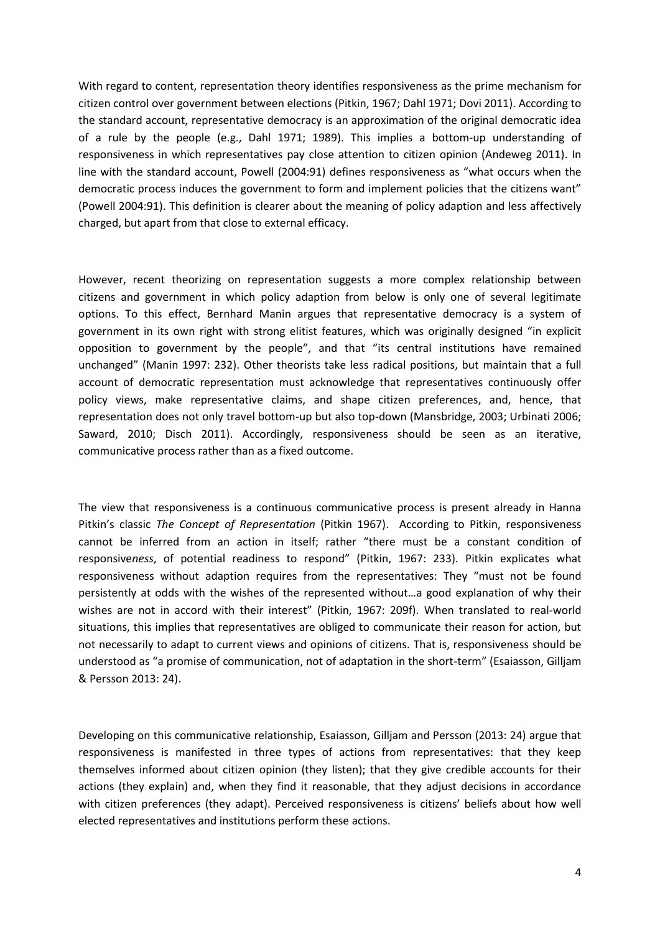With regard to content, representation theory identifies responsiveness as the prime mechanism for citizen control over government between elections (Pitkin, 1967; Dahl 1971; Dovi 2011). According to the standard account, representative democracy is an approximation of the original democratic idea of a rule by the people (e.g., Dahl 1971; 1989). This implies a bottom-up understanding of responsiveness in which representatives pay close attention to citizen opinion (Andeweg 2011). In line with the standard account, Powell (2004:91) defines responsiveness as "what occurs when the democratic process induces the government to form and implement policies that the citizens want" (Powell 2004:91). This definition is clearer about the meaning of policy adaption and less affectively charged, but apart from that close to external efficacy.

However, recent theorizing on representation suggests a more complex relationship between citizens and government in which policy adaption from below is only one of several legitimate options. To this effect, Bernhard Manin argues that representative democracy is a system of government in its own right with strong elitist features, which was originally designed "in explicit opposition to government by the people", and that "its central institutions have remained unchanged" (Manin 1997: 232). Other theorists take less radical positions, but maintain that a full account of democratic representation must acknowledge that representatives continuously offer policy views, make representative claims, and shape citizen preferences, and, hence, that representation does not only travel bottom-up but also top-down (Mansbridge, 2003; Urbinati 2006; Saward, 2010; Disch 2011). Accordingly, responsiveness should be seen as an iterative, communicative process rather than as a fixed outcome.

The view that responsiveness is a continuous communicative process is present already in Hanna Pitkin's classic *The Concept of Representation* (Pitkin 1967). According to Pitkin, responsiveness cannot be inferred from an action in itself; rather "there must be a constant condition of responsive*ness*, of potential readiness to respond" (Pitkin, 1967: 233). Pitkin explicates what responsiveness without adaption requires from the representatives: They "must not be found persistently at odds with the wishes of the represented without…a good explanation of why their wishes are not in accord with their interest" (Pitkin, 1967: 209f). When translated to real-world situations, this implies that representatives are obliged to communicate their reason for action, but not necessarily to adapt to current views and opinions of citizens. That is, responsiveness should be understood as "a promise of communication, not of adaptation in the short-term" (Esaiasson, Gilljam & Persson 2013: 24).

Developing on this communicative relationship, Esaiasson, Gilljam and Persson (2013: 24) argue that responsiveness is manifested in three types of actions from representatives: that they keep themselves informed about citizen opinion (they listen); that they give credible accounts for their actions (they explain) and, when they find it reasonable, that they adjust decisions in accordance with citizen preferences (they adapt). Perceived responsiveness is citizens' beliefs about how well elected representatives and institutions perform these actions.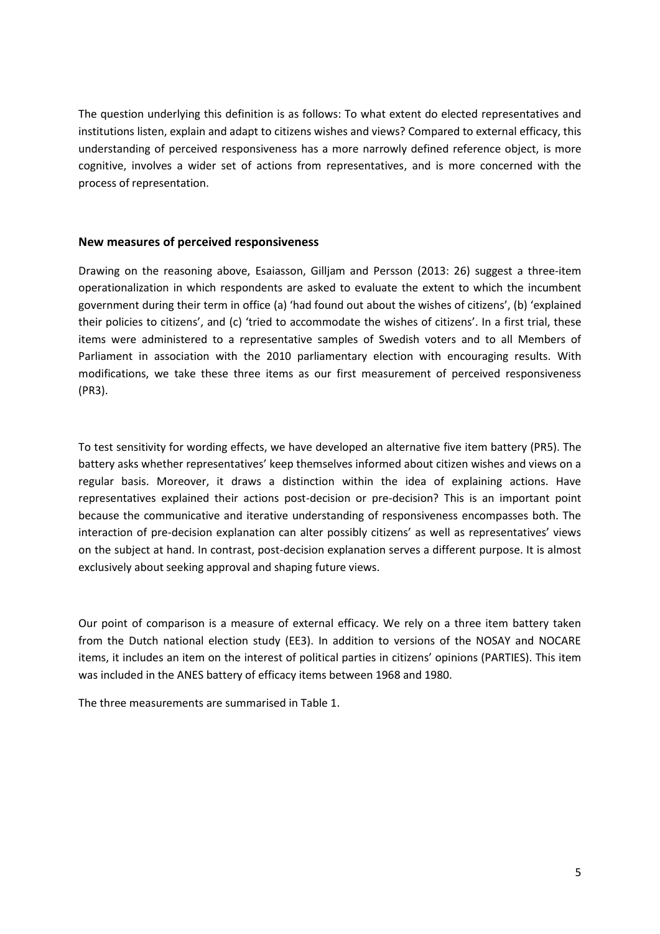The question underlying this definition is as follows: To what extent do elected representatives and institutions listen, explain and adapt to citizens wishes and views? Compared to external efficacy, this understanding of perceived responsiveness has a more narrowly defined reference object, is more cognitive, involves a wider set of actions from representatives, and is more concerned with the process of representation.

## **New measures of perceived responsiveness**

Drawing on the reasoning above, Esaiasson, Gilljam and Persson (2013: 26) suggest a three-item operationalization in which respondents are asked to evaluate the extent to which the incumbent government during their term in office (a) 'had found out about the wishes of citizens', (b) 'explained their policies to citizens', and (c) 'tried to accommodate the wishes of citizens'. In a first trial, these items were administered to a representative samples of Swedish voters and to all Members of Parliament in association with the 2010 parliamentary election with encouraging results. With modifications, we take these three items as our first measurement of perceived responsiveness (PR3).

To test sensitivity for wording effects, we have developed an alternative five item battery (PR5). The battery asks whether representatives' keep themselves informed about citizen wishes and views on a regular basis. Moreover, it draws a distinction within the idea of explaining actions. Have representatives explained their actions post-decision or pre-decision? This is an important point because the communicative and iterative understanding of responsiveness encompasses both. The interaction of pre-decision explanation can alter possibly citizens' as well as representatives' views on the subject at hand. In contrast, post-decision explanation serves a different purpose. It is almost exclusively about seeking approval and shaping future views.

Our point of comparison is a measure of external efficacy. We rely on a three item battery taken from the Dutch national election study (EE3). In addition to versions of the NOSAY and NOCARE items, it includes an item on the interest of political parties in citizens' opinions (PARTIES). This item was included in the ANES battery of efficacy items between 1968 and 1980.

The three measurements are summarised in Table 1.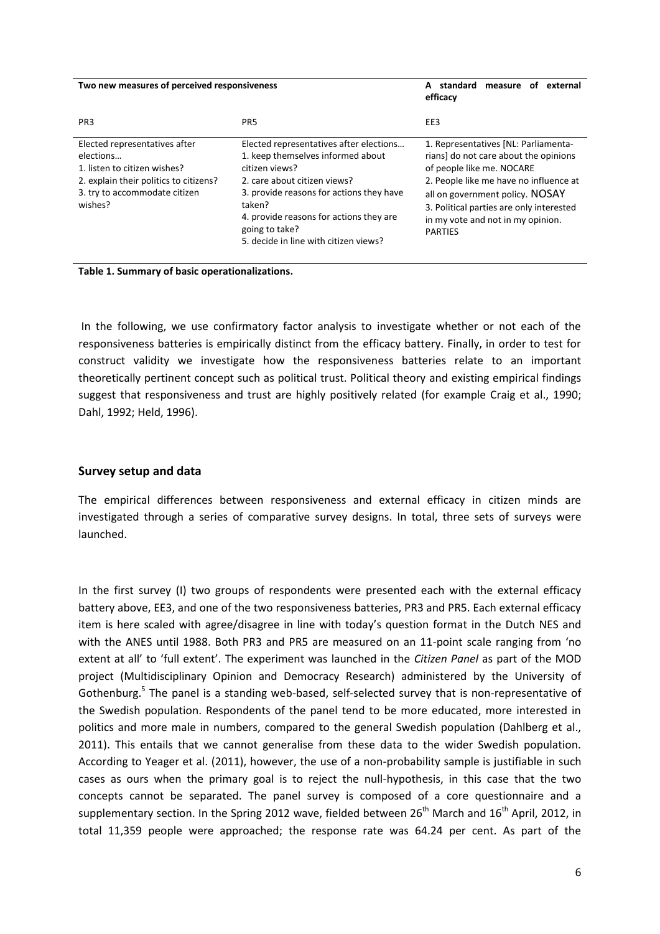| Two new measures of perceived responsiveness                                                                                                                     |                                                                                                                                                                                                                                                                                            | A standard<br>measure of<br>external<br>efficacy                                                                                                                                                                                                                                           |  |
|------------------------------------------------------------------------------------------------------------------------------------------------------------------|--------------------------------------------------------------------------------------------------------------------------------------------------------------------------------------------------------------------------------------------------------------------------------------------|--------------------------------------------------------------------------------------------------------------------------------------------------------------------------------------------------------------------------------------------------------------------------------------------|--|
| PR <sub>3</sub>                                                                                                                                                  | PR <sub>5</sub>                                                                                                                                                                                                                                                                            | EE3                                                                                                                                                                                                                                                                                        |  |
| Elected representatives after<br>elections<br>1. listen to citizen wishes?<br>2. explain their politics to citizens?<br>3. try to accommodate citizen<br>wishes? | Elected representatives after elections<br>1. keep themselves informed about<br>citizen views?<br>2. care about citizen views?<br>3. provide reasons for actions they have<br>taken?<br>4. provide reasons for actions they are<br>going to take?<br>5. decide in line with citizen views? | 1. Representatives [NL: Parliamenta-<br>rians] do not care about the opinions<br>of people like me. NOCARE<br>2. People like me have no influence at<br>all on government policy. NOSAY<br>3. Political parties are only interested<br>in my vote and not in my opinion.<br><b>PARTIES</b> |  |

**Table 1. Summary of basic operationalizations.**

In the following, we use confirmatory factor analysis to investigate whether or not each of the responsiveness batteries is empirically distinct from the efficacy battery. Finally, in order to test for construct validity we investigate how the responsiveness batteries relate to an important theoretically pertinent concept such as political trust. Political theory and existing empirical findings suggest that responsiveness and trust are highly positively related (for example Craig et al., 1990; Dahl, 1992; Held, 1996).

# **Survey setup and data**

The empirical differences between responsiveness and external efficacy in citizen minds are investigated through a series of comparative survey designs. In total, three sets of surveys were launched.

In the first survey (I) two groups of respondents were presented each with the external efficacy battery above, EE3, and one of the two responsiveness batteries, PR3 and PR5. Each external efficacy item is here scaled with agree/disagree in line with today's question format in the Dutch NES and with the ANES until 1988. Both PR3 and PR5 are measured on an 11-point scale ranging from 'no extent at all' to 'full extent'. The experiment was launched in the *Citizen Panel* as part of the MOD project (Multidisciplinary Opinion and Democracy Research) administered by the University of Gothenburg.<sup>5</sup> The panel is a standing web-based, self-selected survey that is non-representative of the Swedish population. Respondents of the panel tend to be more educated, more interested in politics and more male in numbers, compared to the general Swedish population (Dahlberg et al., 2011). This entails that we cannot generalise from these data to the wider Swedish population. According to Yeager et al. (2011), however, the use of a non-probability sample is justifiable in such cases as ours when the primary goal is to reject the null-hypothesis, in this case that the two concepts cannot be separated. The panel survey is composed of a core questionnaire and a supplementary section. In the Spring 2012 wave, fielded between  $26<sup>th</sup>$  March and  $16<sup>th</sup>$  April, 2012, in total 11,359 people were approached; the response rate was 64.24 per cent. As part of the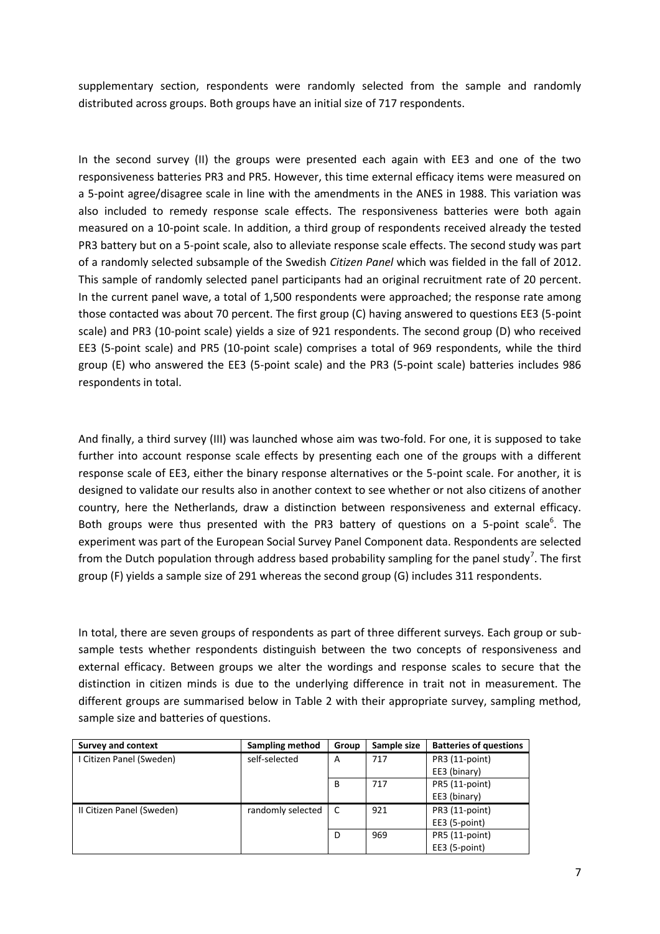supplementary section, respondents were randomly selected from the sample and randomly distributed across groups. Both groups have an initial size of 717 respondents.

In the second survey (II) the groups were presented each again with EE3 and one of the two responsiveness batteries PR3 and PR5. However, this time external efficacy items were measured on a 5-point agree/disagree scale in line with the amendments in the ANES in 1988. This variation was also included to remedy response scale effects. The responsiveness batteries were both again measured on a 10-point scale. In addition, a third group of respondents received already the tested PR3 battery but on a 5-point scale, also to alleviate response scale effects. The second study was part of a randomly selected subsample of the Swedish *Citizen Panel* which was fielded in the fall of 2012. This sample of randomly selected panel participants had an original recruitment rate of 20 percent. In the current panel wave, a total of 1,500 respondents were approached; the response rate among those contacted was about 70 percent. The first group (C) having answered to questions EE3 (5-point scale) and PR3 (10-point scale) yields a size of 921 respondents. The second group (D) who received EE3 (5-point scale) and PR5 (10-point scale) comprises a total of 969 respondents, while the third group (E) who answered the EE3 (5-point scale) and the PR3 (5-point scale) batteries includes 986 respondents in total.

And finally, a third survey (III) was launched whose aim was two-fold. For one, it is supposed to take further into account response scale effects by presenting each one of the groups with a different response scale of EE3, either the binary response alternatives or the 5-point scale. For another, it is designed to validate our results also in another context to see whether or not also citizens of another country, here the Netherlands, draw a distinction between responsiveness and external efficacy. Both groups were thus presented with the PR3 battery of questions on a 5-point scale<sup>6</sup>. The experiment was part of the European Social Survey Panel Component data. Respondents are selected from the Dutch population through address based probability sampling for the panel study<sup>7</sup>. The first group (F) yields a sample size of 291 whereas the second group (G) includes 311 respondents.

In total, there are seven groups of respondents as part of three different surveys. Each group or subsample tests whether respondents distinguish between the two concepts of responsiveness and external efficacy. Between groups we alter the wordings and response scales to secure that the distinction in citizen minds is due to the underlying difference in trait not in measurement. The different groups are summarised below in Table 2 with their appropriate survey, sampling method, sample size and batteries of questions.

| <b>Survey and context</b> | Sampling method   | Group | Sample size | <b>Batteries of questions</b> |
|---------------------------|-------------------|-------|-------------|-------------------------------|
| I Citizen Panel (Sweden)  | self-selected     | A     | 717         | PR3 (11-point)                |
|                           |                   |       |             | EE3 (binary)                  |
|                           |                   | B     | 717         | PR5 (11-point)                |
|                           |                   |       |             | EE3 (binary)                  |
| II Citizen Panel (Sweden) | randomly selected | C     | 921         | PR3 (11-point)                |
|                           |                   |       |             | EE3 (5-point)                 |
|                           |                   | D     | 969         | PR5 (11-point)                |
|                           |                   |       |             | EE3 (5-point)                 |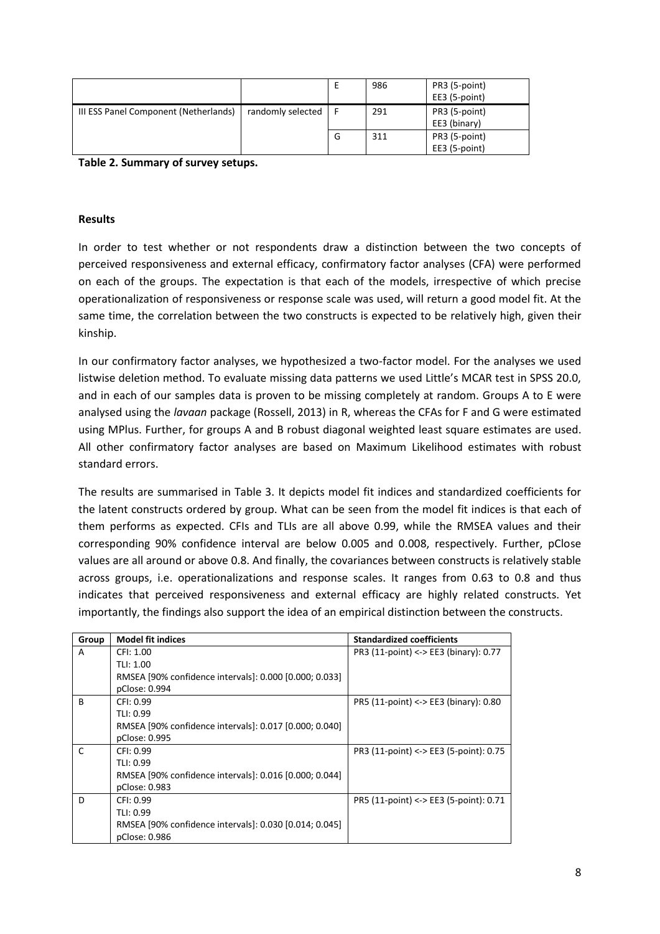|                                       |                   |   | 986 | PR3 (5-point) |
|---------------------------------------|-------------------|---|-----|---------------|
|                                       |                   |   |     | EE3 (5-point) |
| III ESS Panel Component (Netherlands) | randomly selected |   | 291 | PR3 (5-point) |
|                                       |                   |   |     | EE3 (binary)  |
|                                       |                   | G | 311 | PR3 (5-point) |
|                                       |                   |   |     | EE3 (5-point) |

**Table 2. Summary of survey setups.**

### **Results**

In order to test whether or not respondents draw a distinction between the two concepts of perceived responsiveness and external efficacy, confirmatory factor analyses (CFA) were performed on each of the groups. The expectation is that each of the models, irrespective of which precise operationalization of responsiveness or response scale was used, will return a good model fit. At the same time, the correlation between the two constructs is expected to be relatively high, given their kinship.

In our confirmatory factor analyses, we hypothesized a two-factor model. For the analyses we used listwise deletion method. To evaluate missing data patterns we used Little's MCAR test in SPSS 20.0, and in each of our samples data is proven to be missing completely at random. Groups A to E were analysed using the *lavaan* package (Rossell, 2013) in R, whereas the CFAs for F and G were estimated using MPlus. Further, for groups A and B robust diagonal weighted least square estimates are used. All other confirmatory factor analyses are based on Maximum Likelihood estimates with robust standard errors.

The results are summarised in Table 3. It depicts model fit indices and standardized coefficients for the latent constructs ordered by group. What can be seen from the model fit indices is that each of them performs as expected. CFIs and TLIs are all above 0.99, while the RMSEA values and their corresponding 90% confidence interval are below 0.005 and 0.008, respectively. Further, pClose values are all around or above 0.8. And finally, the covariances between constructs is relatively stable across groups, i.e. operationalizations and response scales. It ranges from 0.63 to 0.8 and thus indicates that perceived responsiveness and external efficacy are highly related constructs. Yet importantly, the findings also support the idea of an empirical distinction between the constructs.

| Group        | <b>Model fit indices</b>                               | <b>Standardized coefficients</b>       |
|--------------|--------------------------------------------------------|----------------------------------------|
| A            | CFI: 1.00                                              | PR3 (11-point) <-> EE3 (binary): 0.77  |
|              | TLI: 1.00                                              |                                        |
|              | RMSEA [90% confidence intervals]: 0.000 [0.000; 0.033] |                                        |
|              | pClose: 0.994                                          |                                        |
| <sub>R</sub> | CFI: 0.99                                              | PR5 (11-point) <-> EE3 (binary): 0.80  |
|              | TLI: 0.99                                              |                                        |
|              | RMSEA [90% confidence intervals]: 0.017 [0.000; 0.040] |                                        |
|              | pClose: 0.995                                          |                                        |
| C            | CFI: 0.99                                              | PR3 (11-point) <-> EE3 (5-point): 0.75 |
|              | TLI: 0.99                                              |                                        |
|              | RMSEA [90% confidence intervals]: 0.016 [0.000; 0.044] |                                        |
|              | pClose: 0.983                                          |                                        |
| D            | CFI: 0.99                                              | PR5 (11-point) <-> EE3 (5-point): 0.71 |
|              | TLI: 0.99                                              |                                        |
|              | RMSEA [90% confidence intervals]: 0.030 [0.014; 0.045] |                                        |
|              | pClose: 0.986                                          |                                        |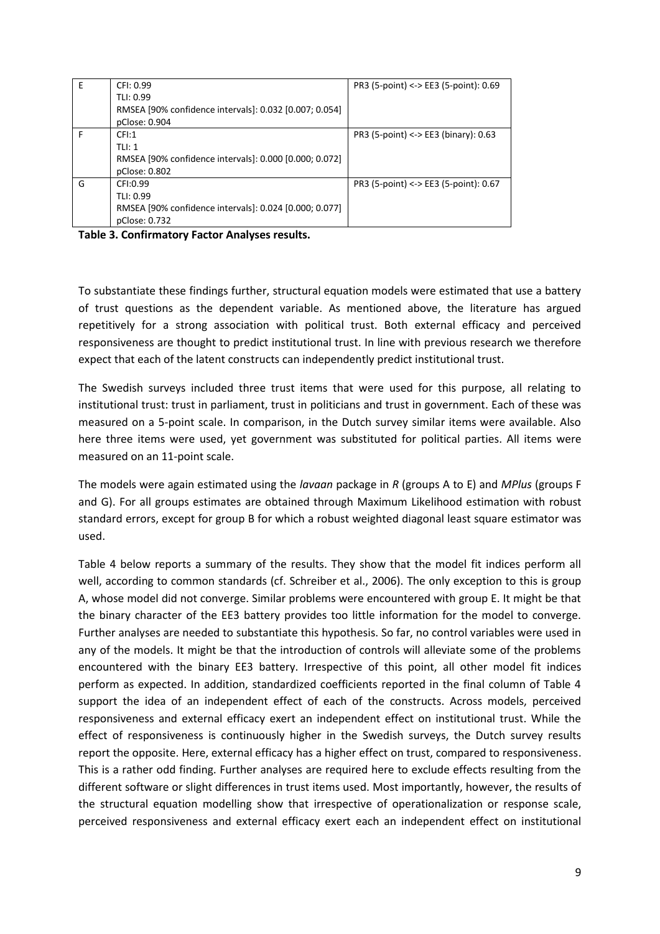| E | CFI: 0.99                                              | PR3 (5-point) <-> EE3 (5-point): $0.69$ |
|---|--------------------------------------------------------|-----------------------------------------|
|   | TLI: 0.99                                              |                                         |
|   | RMSEA [90% confidence intervals]: 0.032 [0.007; 0.054] |                                         |
|   | pClose: 0.904                                          |                                         |
| F | CFI:1                                                  | PR3 (5-point) <-> EE3 (binary): $0.63$  |
|   | T  : 1                                                 |                                         |
|   | RMSEA [90% confidence intervals]: 0.000 [0.000; 0.072] |                                         |
|   | pClose: 0.802                                          |                                         |
| G | CFI:0.99                                               | PR3 (5-point) <-> EE3 (5-point): 0.67   |
|   | TLI: 0.99                                              |                                         |
|   | RMSEA [90% confidence intervals]: 0.024 [0.000; 0.077] |                                         |
|   | pClose: 0.732                                          |                                         |

**Table 3. Confirmatory Factor Analyses results.**

To substantiate these findings further, structural equation models were estimated that use a battery of trust questions as the dependent variable. As mentioned above, the literature has argued repetitively for a strong association with political trust. Both external efficacy and perceived responsiveness are thought to predict institutional trust. In line with previous research we therefore expect that each of the latent constructs can independently predict institutional trust.

The Swedish surveys included three trust items that were used for this purpose, all relating to institutional trust: trust in parliament, trust in politicians and trust in government. Each of these was measured on a 5-point scale. In comparison, in the Dutch survey similar items were available. Also here three items were used, yet government was substituted for political parties. All items were measured on an 11-point scale.

The models were again estimated using the *lavaan* package in *R* (groups A to E) and *MPlus* (groups F and G). For all groups estimates are obtained through Maximum Likelihood estimation with robust standard errors, except for group B for which a robust weighted diagonal least square estimator was used.

Table 4 below reports a summary of the results. They show that the model fit indices perform all well, according to common standards (cf. Schreiber et al., 2006). The only exception to this is group A, whose model did not converge. Similar problems were encountered with group E. It might be that the binary character of the EE3 battery provides too little information for the model to converge. Further analyses are needed to substantiate this hypothesis. So far, no control variables were used in any of the models. It might be that the introduction of controls will alleviate some of the problems encountered with the binary EE3 battery. Irrespective of this point, all other model fit indices perform as expected. In addition, standardized coefficients reported in the final column of Table 4 support the idea of an independent effect of each of the constructs. Across models, perceived responsiveness and external efficacy exert an independent effect on institutional trust. While the effect of responsiveness is continuously higher in the Swedish surveys, the Dutch survey results report the opposite. Here, external efficacy has a higher effect on trust, compared to responsiveness. This is a rather odd finding. Further analyses are required here to exclude effects resulting from the different software or slight differences in trust items used. Most importantly, however, the results of the structural equation modelling show that irrespective of operationalization or response scale, perceived responsiveness and external efficacy exert each an independent effect on institutional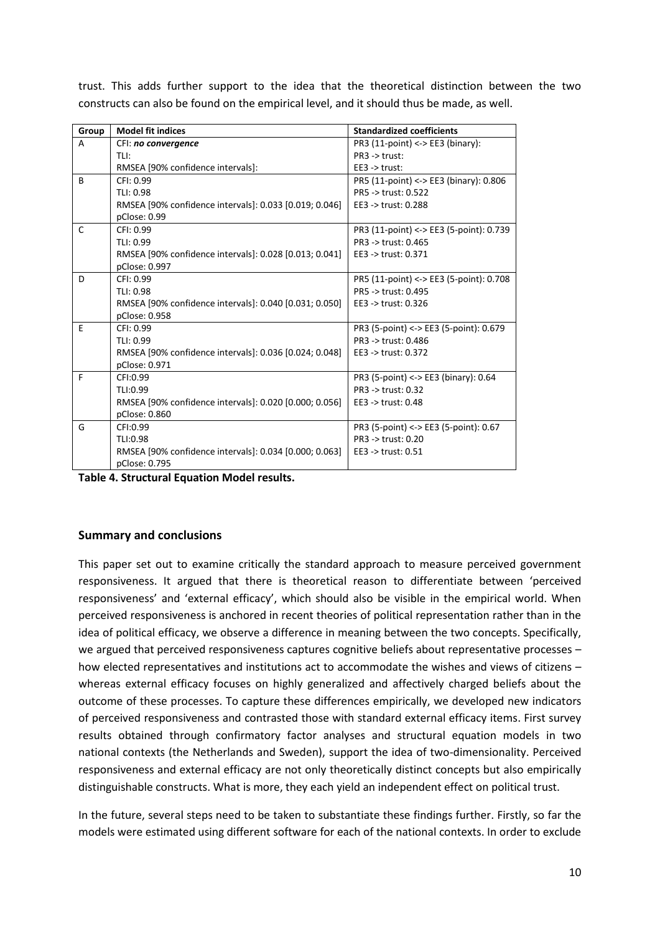| Group | <b>Model fit indices</b>                               | <b>Standardized coefficients</b>        |
|-------|--------------------------------------------------------|-----------------------------------------|
| A     | CFI: no convergence                                    | PR3 $(11$ -point $)$ <-> EE3 (binary):  |
|       | TLI:                                                   | $PR3$ -> trust:                         |
|       | RMSEA [90% confidence intervals]:                      | $EE3 \rightarrow$ trust:                |
| B     | CFI: 0.99                                              | PR5 (11-point) <-> EE3 (binary): 0.806  |
|       | TLI: 0.98                                              | PR5 -> trust: 0.522                     |
|       | RMSEA [90% confidence intervals]: 0.033 [0.019; 0.046] | EE3 -> trust: 0.288                     |
|       | pClose: 0.99                                           |                                         |
| C     | CFI: 0.99                                              | PR3 (11-point) <-> EE3 (5-point): 0.739 |
|       | TLI: 0.99                                              | PR3 -> trust: 0.465                     |
|       | RMSEA [90% confidence intervals]: 0.028 [0.013; 0.041] | EE3 -> trust: 0.371                     |
|       | pClose: 0.997                                          |                                         |
| D     | CFI: 0.99                                              | PR5 (11-point) <-> EE3 (5-point): 0.708 |
|       | TLI: 0.98                                              | PR5 -> trust: 0.495                     |
|       | RMSEA [90% confidence intervals]: 0.040 [0.031; 0.050] | EE3 -> trust: 0.326                     |
|       | pClose: 0.958                                          |                                         |
| E     | CFI: 0.99                                              | PR3 (5-point) <-> EE3 (5-point): 0.679  |
|       | TLI: 0.99                                              | PR3 -> trust: 0.486                     |
|       | RMSEA [90% confidence intervals]: 0.036 [0.024; 0.048] | EE3 -> trust: 0.372                     |
|       | pClose: 0.971                                          |                                         |
| F     | CFI:0.99                                               | PR3 (5-point) <-> EE3 (binary): 0.64    |
|       | TLI:0.99                                               | PR3 -> trust: 0.32                      |
|       | RMSEA [90% confidence intervals]: 0.020 [0.000; 0.056] | EE3 -> trust: 0.48                      |
|       | pClose: 0.860                                          |                                         |
| G     | CFI:0.99                                               | PR3 (5-point) <-> EE3 (5-point): 0.67   |
|       | TLI:0.98                                               | PR3 -> trust: 0.20                      |
|       | RMSEA [90% confidence intervals]: 0.034 [0.000; 0.063] | EE3 -> trust: 0.51                      |
|       | pClose: 0.795                                          |                                         |

trust. This adds further support to the idea that the theoretical distinction between the two constructs can also be found on the empirical level, and it should thus be made, as well.

**Table 4. Structural Equation Model results.**

### **Summary and conclusions**

This paper set out to examine critically the standard approach to measure perceived government responsiveness. It argued that there is theoretical reason to differentiate between 'perceived responsiveness' and 'external efficacy', which should also be visible in the empirical world. When perceived responsiveness is anchored in recent theories of political representation rather than in the idea of political efficacy, we observe a difference in meaning between the two concepts. Specifically, we argued that perceived responsiveness captures cognitive beliefs about representative processes – how elected representatives and institutions act to accommodate the wishes and views of citizens – whereas external efficacy focuses on highly generalized and affectively charged beliefs about the outcome of these processes. To capture these differences empirically, we developed new indicators of perceived responsiveness and contrasted those with standard external efficacy items. First survey results obtained through confirmatory factor analyses and structural equation models in two national contexts (the Netherlands and Sweden), support the idea of two-dimensionality. Perceived responsiveness and external efficacy are not only theoretically distinct concepts but also empirically distinguishable constructs. What is more, they each yield an independent effect on political trust.

In the future, several steps need to be taken to substantiate these findings further. Firstly, so far the models were estimated using different software for each of the national contexts. In order to exclude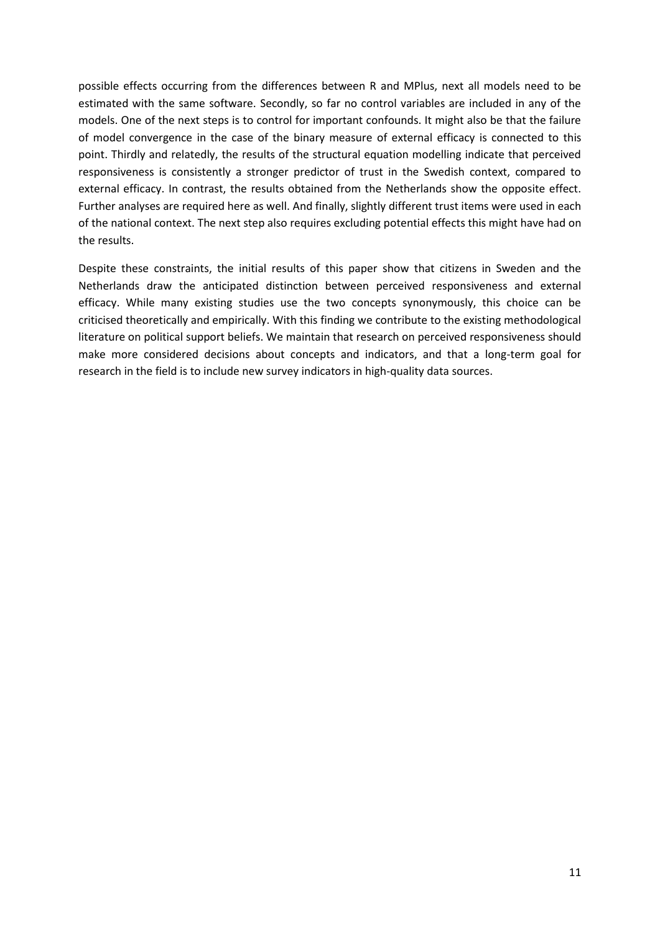possible effects occurring from the differences between R and MPlus, next all models need to be estimated with the same software. Secondly, so far no control variables are included in any of the models. One of the next steps is to control for important confounds. It might also be that the failure of model convergence in the case of the binary measure of external efficacy is connected to this point. Thirdly and relatedly, the results of the structural equation modelling indicate that perceived responsiveness is consistently a stronger predictor of trust in the Swedish context, compared to external efficacy. In contrast, the results obtained from the Netherlands show the opposite effect. Further analyses are required here as well. And finally, slightly different trust items were used in each of the national context. The next step also requires excluding potential effects this might have had on the results.

Despite these constraints, the initial results of this paper show that citizens in Sweden and the Netherlands draw the anticipated distinction between perceived responsiveness and external efficacy. While many existing studies use the two concepts synonymously, this choice can be criticised theoretically and empirically. With this finding we contribute to the existing methodological literature on political support beliefs. We maintain that research on perceived responsiveness should make more considered decisions about concepts and indicators, and that a long-term goal for research in the field is to include new survey indicators in high-quality data sources.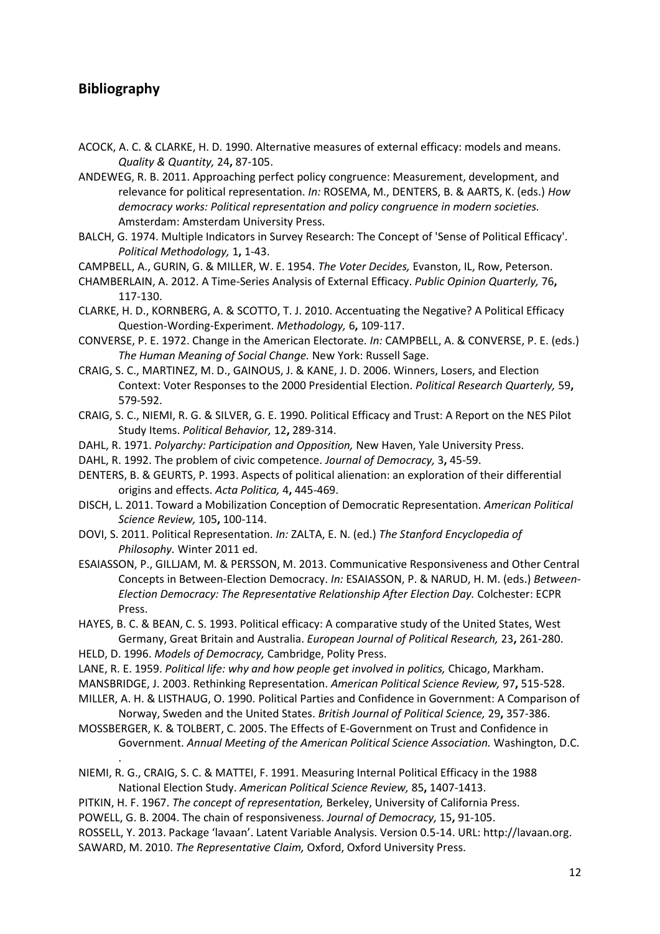# **Bibliography**

.

- ACOCK, A. C. & CLARKE, H. D. 1990. Alternative measures of external efficacy: models and means. *Quality & Quantity,* 24**,** 87-105.
- ANDEWEG, R. B. 2011. Approaching perfect policy congruence: Measurement, development, and relevance for political representation. *In:* ROSEMA, M., DENTERS, B. & AARTS, K. (eds.) *How democracy works: Political representation and policy congruence in modern societies.* Amsterdam: Amsterdam University Press.
- BALCH, G. 1974. Multiple Indicators in Survey Research: The Concept of 'Sense of Political Efficacy'. *Political Methodology,* 1**,** 1-43.
- CAMPBELL, A., GURIN, G. & MILLER, W. E. 1954. *The Voter Decides,* Evanston, IL, Row, Peterson.
- CHAMBERLAIN, A. 2012. A Time-Series Analysis of External Efficacy. *Public Opinion Quarterly,* 76**,** 117-130.
- CLARKE, H. D., KORNBERG, A. & SCOTTO, T. J. 2010. Accentuating the Negative? A Political Efficacy Question-Wording-Experiment. *Methodology,* 6**,** 109-117.
- CONVERSE, P. E. 1972. Change in the American Electorate. *In:* CAMPBELL, A. & CONVERSE, P. E. (eds.) *The Human Meaning of Social Change.* New York: Russell Sage.
- CRAIG, S. C., MARTINEZ, M. D., GAINOUS, J. & KANE, J. D. 2006. Winners, Losers, and Election Context: Voter Responses to the 2000 Presidential Election. *Political Research Quarterly,* 59**,** 579-592.
- CRAIG, S. C., NIEMI, R. G. & SILVER, G. E. 1990. Political Efficacy and Trust: A Report on the NES Pilot Study Items. *Political Behavior,* 12**,** 289-314.
- DAHL, R. 1971. *Polyarchy: Participation and Opposition,* New Haven, Yale University Press.
- DAHL, R. 1992. The problem of civic competence. *Journal of Democracy,* 3**,** 45-59.
- DENTERS, B. & GEURTS, P. 1993. Aspects of political alienation: an exploration of their differential origins and effects. *Acta Politica,* 4**,** 445-469.
- DISCH, L. 2011. Toward a Mobilization Conception of Democratic Representation. *American Political Science Review,* 105**,** 100-114.
- DOVI, S. 2011. Political Representation. *In:* ZALTA, E. N. (ed.) *The Stanford Encyclopedia of Philosophy.* Winter 2011 ed.
- ESAIASSON, P., GILLJAM, M. & PERSSON, M. 2013. Communicative Responsiveness and Other Central Concepts in Between-Election Democracy. *In:* ESAIASSON, P. & NARUD, H. M. (eds.) *Between-Election Democracy: The Representative Relationship After Election Day.* Colchester: ECPR Press.

HAYES, B. C. & BEAN, C. S. 1993. Political efficacy: A comparative study of the United States, West Germany, Great Britain and Australia. *European Journal of Political Research,* 23**,** 261-280.

- HELD, D. 1996. *Models of Democracy,* Cambridge, Polity Press.
- LANE, R. E. 1959. *Political life: why and how people get involved in politics,* Chicago, Markham. MANSBRIDGE, J. 2003. Rethinking Representation. *American Political Science Review,* 97**,** 515-528.

MILLER, A. H. & LISTHAUG, O. 1990. Political Parties and Confidence in Government: A Comparison of Norway, Sweden and the United States. *British Journal of Political Science,* 29**,** 357-386.

MOSSBERGER, K. & TOLBERT, C. 2005. The Effects of E-Government on Trust and Confidence in Government. *Annual Meeting of the American Political Science Association.* Washington, D.C.

NIEMI, R. G., CRAIG, S. C. & MATTEI, F. 1991. Measuring Internal Political Efficacy in the 1988 National Election Study. *American Political Science Review,* 85**,** 1407-1413.

PITKIN, H. F. 1967. *The concept of representation,* Berkeley, University of California Press.

POWELL, G. B. 2004. The chain of responsiveness. *Journal of Democracy,* 15**,** 91-105.

ROSSELL, Y. 2013. Package 'lavaan'. Latent Variable Analysis. Version 0.5-14. URL: http://lavaan.org. SAWARD, M. 2010. *The Representative Claim,* Oxford, Oxford University Press.